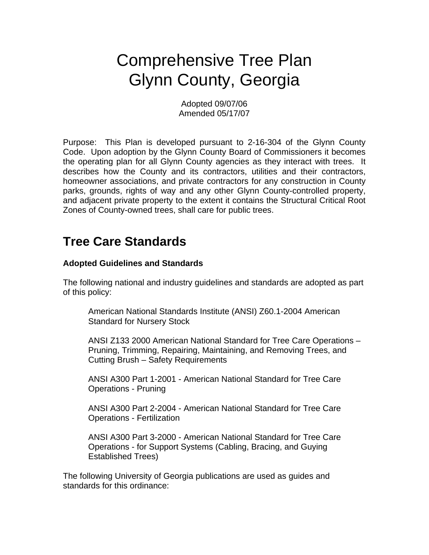# Comprehensive Tree Plan Glynn County, Georgia

Adopted 09/07/06 Amended 05/17/07

Purpose: This Plan is developed pursuant to 2-16-304 of the Glynn County Code. Upon adoption by the Glynn County Board of Commissioners it becomes the operating plan for all Glynn County agencies as they interact with trees. It describes how the County and its contractors, utilities and their contractors, homeowner associations, and private contractors for any construction in County parks, grounds, rights of way and any other Glynn County-controlled property, and adjacent private property to the extent it contains the Structural Critical Root Zones of County-owned trees, shall care for public trees.

# **Tree Care Standards**

## **Adopted Guidelines and Standards**

The following national and industry guidelines and standards are adopted as part of this policy:

American National Standards Institute (ANSI) Z60.1-2004 American Standard for Nursery Stock

ANSI Z133 2000 American National Standard for Tree Care Operations – Pruning, Trimming, Repairing, Maintaining, and Removing Trees, and Cutting Brush – Safety Requirements

ANSI A300 Part 1-2001 - American National Standard for Tree Care Operations - Pruning

ANSI A300 Part 2-2004 - American National Standard for Tree Care Operations - Fertilization

ANSI A300 Part 3-2000 - American National Standard for Tree Care Operations - for Support Systems (Cabling, Bracing, and Guying Established Trees)

The following University of Georgia publications are used as guides and standards for this ordinance: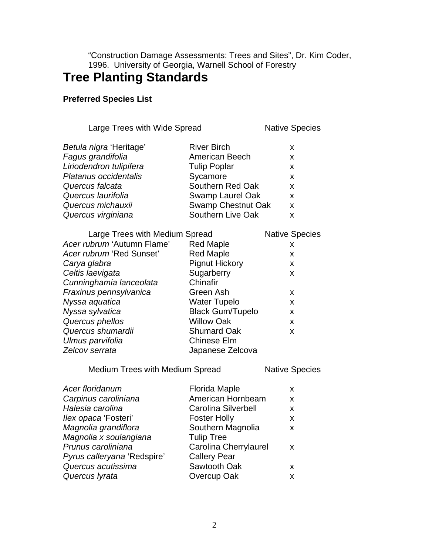"Construction Damage Assessments: Trees and Sites", Dr. Kim Coder, 1996. University of Georgia, Warnell School of Forestry

# **Tree Planting Standards**

## **Preferred Species List**

|  |  | Large Trees with Wide Spread |
|--|--|------------------------------|
|--|--|------------------------------|

**Native Species** 

| Betula nigra 'Heritage' | <b>River Birch</b>  |    |
|-------------------------|---------------------|----|
| Fagus grandifolia       | American Beech      | x  |
| Liriodendron tulipifera | <b>Tulip Poplar</b> | X. |
| Platanus occidentalis   | Sycamore            | x. |
| Quercus falcata         | Southern Red Oak    | x. |
| Quercus laurifolia      | Swamp Laurel Oak    | X. |
| Quercus michauxii       | Swamp Chestnut Oak  | X. |
| Quercus virginiana      | Southern Live Oak   | x  |
|                         |                     |    |

| Large Trees with Medium Spread |                         | <b>Native Species</b> |
|--------------------------------|-------------------------|-----------------------|
| Acer rubrum 'Autumn Flame'     | <b>Red Maple</b>        | x                     |
| Acer rubrum 'Red Sunset'       | <b>Red Maple</b>        | X                     |
| Carya glabra                   | <b>Pignut Hickory</b>   | X                     |
| Celtis laevigata               | Sugarberry              | X                     |
| Cunninghamia lanceolata        | Chinafir                |                       |
| Fraxinus pennsylvanica         | Green Ash               | x                     |
| Nyssa aquatica                 | Water Tupelo            | X                     |
| Nyssa sylvatica                | <b>Black Gum/Tupelo</b> | X                     |
| Quercus phellos                | <b>Willow Oak</b>       | X                     |
| Quercus shumardii              | <b>Shumard Oak</b>      | X                     |
| Ulmus parvifolia               | <b>Chinese Elm</b>      |                       |
| Zelcov serrata                 | Japanese Zelcova        |                       |

Medium Trees with Medium Spread Native Species

| Acer floridanum             | <b>Florida Maple</b>         | x. |
|-----------------------------|------------------------------|----|
| Carpinus caroliniana        | American Hornbeam            | x  |
| Halesia carolina            | <b>Carolina Silverbell</b>   | x  |
| llex opaca 'Fosteri'        | <b>Foster Holly</b>          | x  |
| Magnolia grandiflora        | Southern Magnolia            | x  |
| Magnolia x soulangiana      | <b>Tulip Tree</b>            |    |
| Prunus caroliniana          | <b>Carolina Cherrylaurel</b> | x. |
| Pyrus calleryana 'Redspire' | <b>Callery Pear</b>          |    |
| Quercus acutissima          | Sawtooth Oak                 | x. |
| Quercus Iyrata              | Overcup Oak                  | x  |
|                             |                              |    |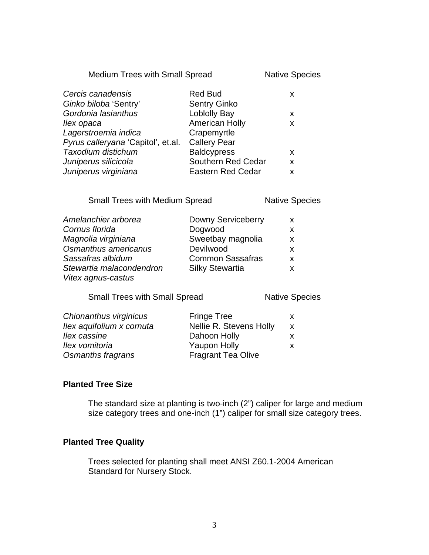Medium Trees with Small Spread Native Species

| Cercis canadensis                  | <b>Red Bud</b>           | x |
|------------------------------------|--------------------------|---|
| Ginko biloba 'Sentry'              | <b>Sentry Ginko</b>      |   |
| Gordonia lasianthus                | <b>Loblolly Bay</b>      | X |
| llex opaca                         | <b>American Holly</b>    | X |
| Lagerstroemia indica               | Crapemyrtle              |   |
| Pyrus calleryana 'Capitol', et.al. | <b>Callery Pear</b>      |   |
| Taxodium distichum                 | <b>Baldcypress</b>       | X |
| Juniperus silicicola               | Southern Red Cedar       | X |
| Juniperus virginiana               | <b>Eastern Red Cedar</b> | x |

Small Trees with Medium Spread Native Species

| Amelanchier arborea      | Downy Serviceberry      | X. |
|--------------------------|-------------------------|----|
| Cornus florida           | Dogwood                 | x  |
| Magnolia virginiana      | Sweetbay magnolia       | X  |
| Osmanthus americanus     | Devilwood               | x  |
| Sassafras albidum        | <b>Common Sassafras</b> | X  |
| Stewartia malacondendron | <b>Silky Stewartia</b>  | x  |
| Vitex agnus-castus       |                         |    |

Small Trees with Small Spread Native Species

| Chionanthus virginicus    | <b>Fringe Tree</b>        | x. |
|---------------------------|---------------------------|----|
| Ilex aquifolium x cornuta | Nellie R. Stevens Holly   | X  |
| llex cassine              | Dahoon Holly              |    |
| llex vomitoria            | <b>Yaupon Holly</b>       | x. |
| Osmanths fragrans         | <b>Fragrant Tea Olive</b> |    |

## **Planted Tree Size**

The standard size at planting is two-inch (2") caliper for large and medium size category trees and one-inch (1") caliper for small size category trees.

#### **Planted Tree Quality**

Trees selected for planting shall meet ANSI Z60.1-2004 American Standard for Nursery Stock.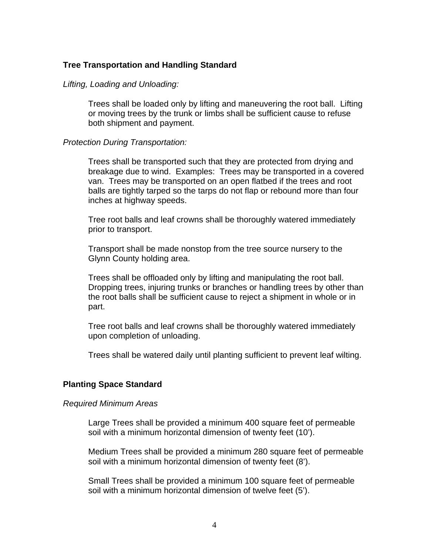#### **Tree Transportation and Handling Standard**

#### *Lifting, Loading and Unloading:*

Trees shall be loaded only by lifting and maneuvering the root ball. Lifting or moving trees by the trunk or limbs shall be sufficient cause to refuse both shipment and payment.

#### *Protection During Transportation:*

Trees shall be transported such that they are protected from drying and breakage due to wind. Examples: Trees may be transported in a covered van. Trees may be transported on an open flatbed if the trees and root balls are tightly tarped so the tarps do not flap or rebound more than four inches at highway speeds.

Tree root balls and leaf crowns shall be thoroughly watered immediately prior to transport.

Transport shall be made nonstop from the tree source nursery to the Glynn County holding area.

Trees shall be offloaded only by lifting and manipulating the root ball. Dropping trees, injuring trunks or branches or handling trees by other than the root balls shall be sufficient cause to reject a shipment in whole or in part.

Tree root balls and leaf crowns shall be thoroughly watered immediately upon completion of unloading.

Trees shall be watered daily until planting sufficient to prevent leaf wilting.

#### **Planting Space Standard**

#### *Required Minimum Areas*

Large Trees shall be provided a minimum 400 square feet of permeable soil with a minimum horizontal dimension of twenty feet (10').

Medium Trees shall be provided a minimum 280 square feet of permeable soil with a minimum horizontal dimension of twenty feet (8').

Small Trees shall be provided a minimum 100 square feet of permeable soil with a minimum horizontal dimension of twelve feet (5').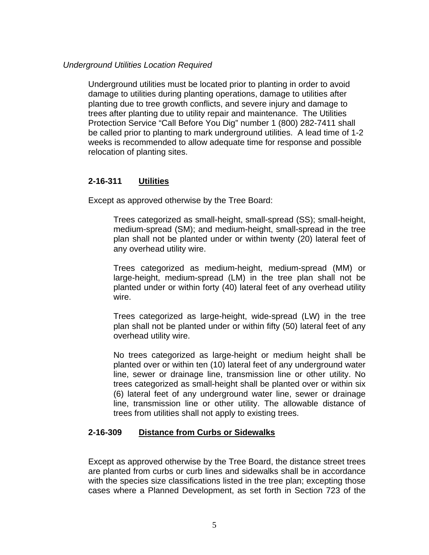#### *Underground Utilities Location Required*

Underground utilities must be located prior to planting in order to avoid damage to utilities during planting operations, damage to utilities after planting due to tree growth conflicts, and severe injury and damage to trees after planting due to utility repair and maintenance. The Utilities Protection Service "Call Before You Dig" number 1 (800) 282-7411 shall be called prior to planting to mark underground utilities. A lead time of 1-2 weeks is recommended to allow adequate time for response and possible relocation of planting sites.

## **2-16-311 Utilities**

Except as approved otherwise by the Tree Board:

Trees categorized as small-height, small-spread (SS); small-height, medium-spread (SM); and medium-height, small-spread in the tree plan shall not be planted under or within twenty (20) lateral feet of any overhead utility wire.

Trees categorized as medium-height, medium-spread (MM) or large-height, medium-spread (LM) in the tree plan shall not be planted under or within forty (40) lateral feet of any overhead utility wire.

Trees categorized as large-height, wide-spread (LW) in the tree plan shall not be planted under or within fifty (50) lateral feet of any overhead utility wire.

No trees categorized as large-height or medium height shall be planted over or within ten (10) lateral feet of any underground water line, sewer or drainage line, transmission line or other utility. No trees categorized as small-height shall be planted over or within six (6) lateral feet of any underground water line, sewer or drainage line, transmission line or other utility. The allowable distance of trees from utilities shall not apply to existing trees.

## **2-16-309 Distance from Curbs or Sidewalks**

Except as approved otherwise by the Tree Board, the distance street trees are planted from curbs or curb lines and sidewalks shall be in accordance with the species size classifications listed in the tree plan; excepting those cases where a Planned Development, as set forth in Section 723 of the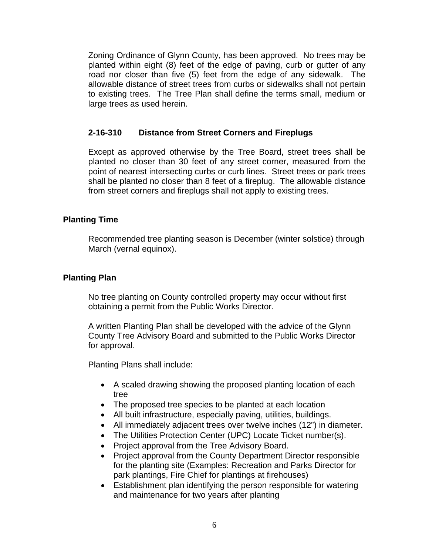Zoning Ordinance of Glynn County, has been approved. No trees may be planted within eight (8) feet of the edge of paving, curb or gutter of any road nor closer than five (5) feet from the edge of any sidewalk. The allowable distance of street trees from curbs or sidewalks shall not pertain to existing trees. The Tree Plan shall define the terms small, medium or large trees as used herein.

## **2-16-310 Distance from Street Corners and Fireplugs**

Except as approved otherwise by the Tree Board, street trees shall be planted no closer than 30 feet of any street corner, measured from the point of nearest intersecting curbs or curb lines. Street trees or park trees shall be planted no closer than 8 feet of a fireplug. The allowable distance from street corners and fireplugs shall not apply to existing trees.

## **Planting Time**

Recommended tree planting season is December (winter solstice) through March (vernal equinox).

## **Planting Plan**

No tree planting on County controlled property may occur without first obtaining a permit from the Public Works Director.

A written Planting Plan shall be developed with the advice of the Glynn County Tree Advisory Board and submitted to the Public Works Director for approval.

Planting Plans shall include:

- A scaled drawing showing the proposed planting location of each tree
- The proposed tree species to be planted at each location
- All built infrastructure, especially paving, utilities, buildings.
- All immediately adjacent trees over twelve inches (12") in diameter.
- The Utilities Protection Center (UPC) Locate Ticket number(s).
- Project approval from the Tree Advisory Board.
- Project approval from the County Department Director responsible for the planting site (Examples: Recreation and Parks Director for park plantings, Fire Chief for plantings at firehouses)
- Establishment plan identifying the person responsible for watering and maintenance for two years after planting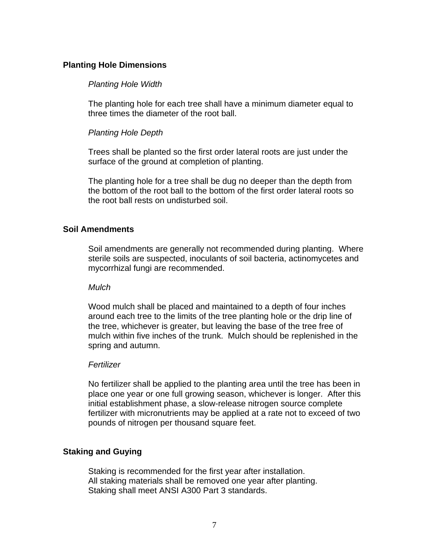## **Planting Hole Dimensions**

#### *Planting Hole Width*

The planting hole for each tree shall have a minimum diameter equal to three times the diameter of the root ball.

## *Planting Hole Depth*

Trees shall be planted so the first order lateral roots are just under the surface of the ground at completion of planting.

The planting hole for a tree shall be dug no deeper than the depth from the bottom of the root ball to the bottom of the first order lateral roots so the root ball rests on undisturbed soil.

## **Soil Amendments**

Soil amendments are generally not recommended during planting. Where sterile soils are suspected, inoculants of soil bacteria, actinomycetes and mycorrhizal fungi are recommended.

#### *Mulch*

Wood mulch shall be placed and maintained to a depth of four inches around each tree to the limits of the tree planting hole or the drip line of the tree, whichever is greater, but leaving the base of the tree free of mulch within five inches of the trunk. Mulch should be replenished in the spring and autumn.

#### *Fertilizer*

No fertilizer shall be applied to the planting area until the tree has been in place one year or one full growing season, whichever is longer. After this initial establishment phase, a slow-release nitrogen source complete fertilizer with micronutrients may be applied at a rate not to exceed of two pounds of nitrogen per thousand square feet.

## **Staking and Guying**

Staking is recommended for the first year after installation. All staking materials shall be removed one year after planting. Staking shall meet ANSI A300 Part 3 standards.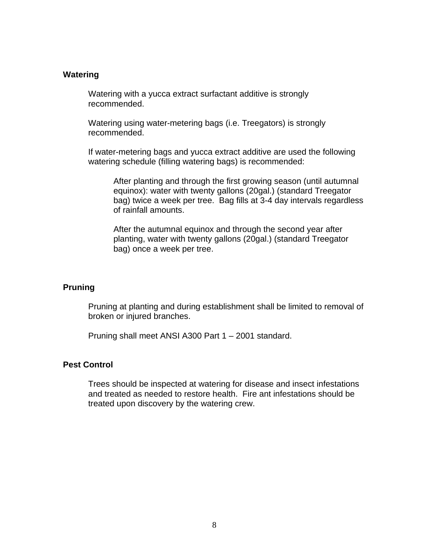#### **Watering**

Watering with a yucca extract surfactant additive is strongly recommended.

Watering using water-metering bags (i.e. Treegators) is strongly recommended.

If water-metering bags and yucca extract additive are used the following watering schedule (filling watering bags) is recommended:

After planting and through the first growing season (until autumnal equinox): water with twenty gallons (20gal.) (standard Treegator bag) twice a week per tree. Bag fills at 3-4 day intervals regardless of rainfall amounts.

After the autumnal equinox and through the second year after planting, water with twenty gallons (20gal.) (standard Treegator bag) once a week per tree.

#### **Pruning**

Pruning at planting and during establishment shall be limited to removal of broken or injured branches.

Pruning shall meet ANSI A300 Part 1 – 2001 standard.

#### **Pest Control**

Trees should be inspected at watering for disease and insect infestations and treated as needed to restore health. Fire ant infestations should be treated upon discovery by the watering crew.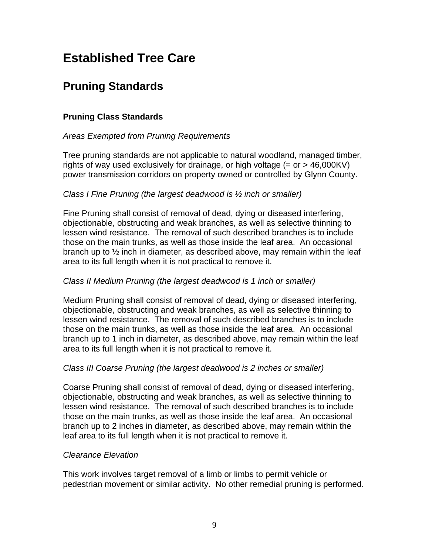# **Established Tree Care**

## **Pruning Standards**

## **Pruning Class Standards**

## *Areas Exempted from Pruning Requirements*

Tree pruning standards are not applicable to natural woodland, managed timber, rights of way used exclusively for drainage, or high voltage  $(=$  or  $>$  46,000KV) power transmission corridors on property owned or controlled by Glynn County.

## *Class I Fine Pruning (the largest deadwood is ½ inch or smaller)*

Fine Pruning shall consist of removal of dead, dying or diseased interfering, objectionable, obstructing and weak branches, as well as selective thinning to lessen wind resistance. The removal of such described branches is to include those on the main trunks, as well as those inside the leaf area. An occasional branch up to ½ inch in diameter, as described above, may remain within the leaf area to its full length when it is not practical to remove it.

## *Class II Medium Pruning (the largest deadwood is 1 inch or smaller)*

Medium Pruning shall consist of removal of dead, dying or diseased interfering, objectionable, obstructing and weak branches, as well as selective thinning to lessen wind resistance. The removal of such described branches is to include those on the main trunks, as well as those inside the leaf area. An occasional branch up to 1 inch in diameter, as described above, may remain within the leaf area to its full length when it is not practical to remove it.

## *Class III Coarse Pruning (the largest deadwood is 2 inches or smaller)*

Coarse Pruning shall consist of removal of dead, dying or diseased interfering, objectionable, obstructing and weak branches, as well as selective thinning to lessen wind resistance. The removal of such described branches is to include those on the main trunks, as well as those inside the leaf area. An occasional branch up to 2 inches in diameter, as described above, may remain within the leaf area to its full length when it is not practical to remove it.

## *Clearance Elevation*

This work involves target removal of a limb or limbs to permit vehicle or pedestrian movement or similar activity. No other remedial pruning is performed.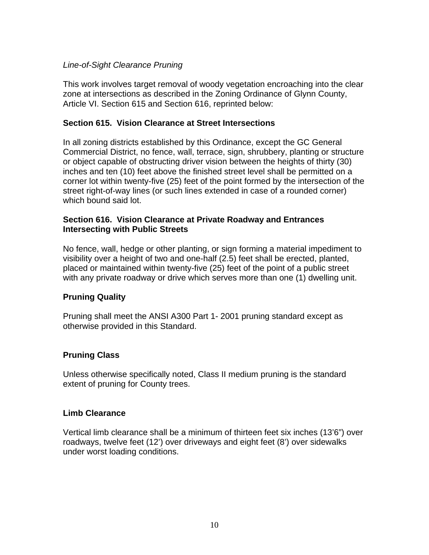## *Line-of-Sight Clearance Pruning*

This work involves target removal of woody vegetation encroaching into the clear zone at intersections as described in the Zoning Ordinance of Glynn County, Article VI. Section 615 and Section 616, reprinted below:

## **Section 615. Vision Clearance at Street Intersections**

In all zoning districts established by this Ordinance, except the GC General Commercial District, no fence, wall, terrace, sign, shrubbery, planting or structure or object capable of obstructing driver vision between the heights of thirty (30) inches and ten (10) feet above the finished street level shall be permitted on a corner lot within twenty-five (25) feet of the point formed by the intersection of the street right-of-way lines (or such lines extended in case of a rounded corner) which bound said lot.

#### **Section 616. Vision Clearance at Private Roadway and Entrances Intersecting with Public Streets**

No fence, wall, hedge or other planting, or sign forming a material impediment to visibility over a height of two and one-half (2.5) feet shall be erected, planted, placed or maintained within twenty-five (25) feet of the point of a public street with any private roadway or drive which serves more than one (1) dwelling unit.

## **Pruning Quality**

Pruning shall meet the ANSI A300 Part 1- 2001 pruning standard except as otherwise provided in this Standard.

## **Pruning Class**

Unless otherwise specifically noted, Class II medium pruning is the standard extent of pruning for County trees.

## **Limb Clearance**

Vertical limb clearance shall be a minimum of thirteen feet six inches (13'6") over roadways, twelve feet (12') over driveways and eight feet (8') over sidewalks under worst loading conditions.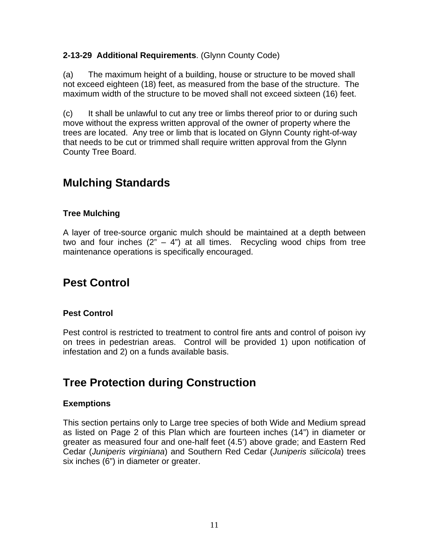## **2-13-29 Additional Requirements**. (Glynn County Code)

(a) The maximum height of a building, house or structure to be moved shall not exceed eighteen (18) feet, as measured from the base of the structure. The maximum width of the structure to be moved shall not exceed sixteen (16) feet.

(c) It shall be unlawful to cut any tree or limbs thereof prior to or during such move without the express written approval of the owner of property where the trees are located. Any tree or limb that is located on Glynn County right-of-way that needs to be cut or trimmed shall require written approval from the Glynn County Tree Board.

## **Mulching Standards**

## **Tree Mulching**

A layer of tree-source organic mulch should be maintained at a depth between two and four inches  $(2<sup>n</sup> - 4<sup>n</sup>)$  at all times. Recycling wood chips from tree maintenance operations is specifically encouraged.

## **Pest Control**

## **Pest Control**

Pest control is restricted to treatment to control fire ants and control of poison ivy on trees in pedestrian areas. Control will be provided 1) upon notification of infestation and 2) on a funds available basis.

## **Tree Protection during Construction**

## **Exemptions**

This section pertains only to Large tree species of both Wide and Medium spread as listed on Page 2 of this Plan which are fourteen inches (14") in diameter or greater as measured four and one-half feet (4.5') above grade; and Eastern Red Cedar (*Juniperis virginiana*) and Southern Red Cedar (*Juniperis silicicola*) trees six inches (6") in diameter or greater.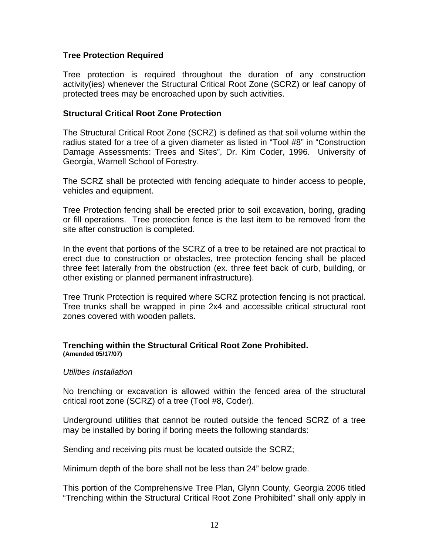## **Tree Protection Required**

Tree protection is required throughout the duration of any construction activity(ies) whenever the Structural Critical Root Zone (SCRZ) or leaf canopy of protected trees may be encroached upon by such activities.

#### **Structural Critical Root Zone Protection**

The Structural Critical Root Zone (SCRZ) is defined as that soil volume within the radius stated for a tree of a given diameter as listed in "Tool #8" in "Construction Damage Assessments: Trees and Sites", Dr. Kim Coder, 1996. University of Georgia, Warnell School of Forestry.

The SCRZ shall be protected with fencing adequate to hinder access to people, vehicles and equipment.

Tree Protection fencing shall be erected prior to soil excavation, boring, grading or fill operations. Tree protection fence is the last item to be removed from the site after construction is completed.

In the event that portions of the SCRZ of a tree to be retained are not practical to erect due to construction or obstacles, tree protection fencing shall be placed three feet laterally from the obstruction (ex. three feet back of curb, building, or other existing or planned permanent infrastructure).

Tree Trunk Protection is required where SCRZ protection fencing is not practical. Tree trunks shall be wrapped in pine 2x4 and accessible critical structural root zones covered with wooden pallets.

#### **Trenching within the Structural Critical Root Zone Prohibited. (Amended 05/17/07)**

#### *Utilities Installation*

No trenching or excavation is allowed within the fenced area of the structural critical root zone (SCRZ) of a tree (Tool #8, Coder).

Underground utilities that cannot be routed outside the fenced SCRZ of a tree may be installed by boring if boring meets the following standards:

Sending and receiving pits must be located outside the SCRZ;

Minimum depth of the bore shall not be less than 24" below grade.

This portion of the Comprehensive Tree Plan, Glynn County, Georgia 2006 titled "Trenching within the Structural Critical Root Zone Prohibited" shall only apply in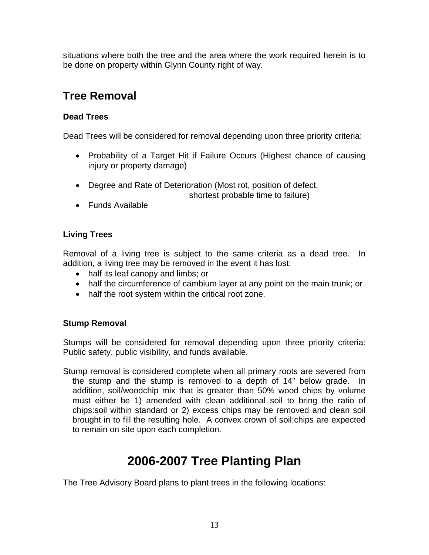situations where both the tree and the area where the work required herein is to be done on property within Glynn County right of way.

## **Tree Removal**

## **Dead Trees**

Dead Trees will be considered for removal depending upon three priority criteria:

- Probability of a Target Hit if Failure Occurs (Highest chance of causing injury or property damage)
- Degree and Rate of Deterioration (Most rot, position of defect,

shortest probable time to failure)

• Funds Available

## **Living Trees**

Removal of a living tree is subject to the same criteria as a dead tree. In addition, a living tree may be removed in the event it has lost:

- half its leaf canopy and limbs; or
- half the circumference of cambium layer at any point on the main trunk; or
- half the root system within the critical root zone.

## **Stump Removal**

Stumps will be considered for removal depending upon three priority criteria: Public safety, public visibility, and funds available.

Stump removal is considered complete when all primary roots are severed from the stump and the stump is removed to a depth of 14" below grade. In addition, soil/woodchip mix that is greater than 50% wood chips by volume must either be 1) amended with clean additional soil to bring the ratio of chips:soil within standard or 2) excess chips may be removed and clean soil brought in to fill the resulting hole. A convex crown of soil:chips are expected to remain on site upon each completion.

# **2006-2007 Tree Planting Plan**

The Tree Advisory Board plans to plant trees in the following locations: